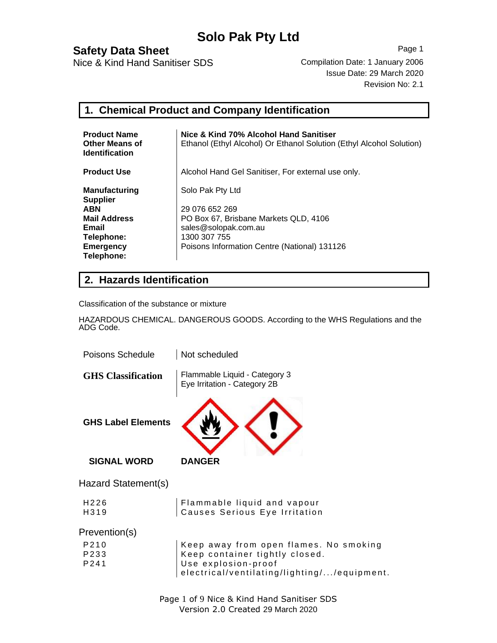## **Safety Data Sheet** Page 1

Nice & Kind Hand Sanitiser SDS Compilation Date: 1 January 2006

Issue Date: 29 March 2020 Revision No: 2.1

### **1. Chemical Product and Company Identification**

| <b>Product Name</b><br><b>Other Means of</b><br><b>Identification</b> | Nice & Kind 70% Alcohol Hand Sanitiser<br>Ethanol (Ethyl Alcohol) Or Ethanol Solution (Ethyl Alcohol Solution) |
|-----------------------------------------------------------------------|----------------------------------------------------------------------------------------------------------------|
| <b>Product Use</b>                                                    | Alcohol Hand Gel Sanitiser, For external use only.                                                             |
| <b>Manufacturing</b><br><b>Supplier</b>                               | Solo Pak Pty Ltd                                                                                               |
| <b>ABN</b>                                                            | 29 076 652 269                                                                                                 |
| <b>Mail Address</b>                                                   | PO Box 67, Brisbane Markets QLD, 4106                                                                          |
| Email                                                                 | sales@solopak.com.au                                                                                           |
| Telephone:                                                            | 1300 307 755                                                                                                   |
| Emergency                                                             | Poisons Information Centre (National) 131126                                                                   |
| Telephone:                                                            |                                                                                                                |

#### **2. Hazards Identification**

Classification of the substance or mixture

HAZARDOUS CHEMICAL. DANGEROUS GOODS. According to the WHS Regulations and the ADG Code.

| Poisons Schedule          | Not scheduled                                                                                                                                  |
|---------------------------|------------------------------------------------------------------------------------------------------------------------------------------------|
| <b>GHS</b> Classification | Flammable Liquid - Category 3<br>Eye Irritation - Category 2B                                                                                  |
| <b>GHS Label Elements</b> |                                                                                                                                                |
| <b>SIGNAL WORD</b>        | <b>DANGER</b>                                                                                                                                  |
| Hazard Statement(s)       |                                                                                                                                                |
| H226<br>H319              | Flammable liquid and vapour<br>Causes Serious Eye Irritation                                                                                   |
| Prevention(s)             |                                                                                                                                                |
| P210<br>P233<br>P241      | Keep away from open flames. No smoking<br>Keep container tightly closed.<br>Use explosion-proof<br>electrical/ventilating/lighting//equipment. |
|                           |                                                                                                                                                |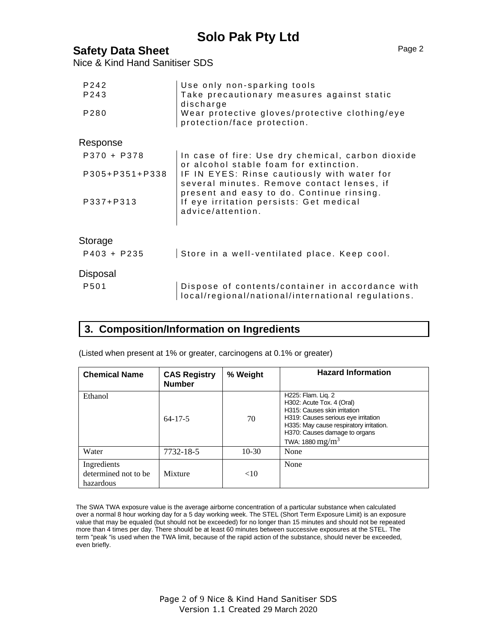## **Safety Data Sheet** Page 2

Nice & Kind Hand Sanitiser SDS

| P242<br>P243   | Use only non-sparking tools<br>Take precautionary measures against static                                 |
|----------------|-----------------------------------------------------------------------------------------------------------|
| P280           | discharge<br>Wear protective gloves/protective clothing/eye<br>protection/face protection.                |
| Response       |                                                                                                           |
| P370 + P378    | In case of fire: Use dry chemical, carbon dioxide<br>or alcohol stable foam for extinction.               |
| P305+P351+P338 | IF IN EYES: Rinse cautiously with water for<br>several minutes. Remove contact lenses, if                 |
| P337+P313      | present and easy to do. Continue rinsing.<br>If eye irritation persists: Get medical<br>advice/attention. |
| Storage        |                                                                                                           |
| $P403 + P235$  | Store in a well-ventilated place. Keep cool.                                                              |
| Disposal       |                                                                                                           |
| P501           | Dispose of contents/container in accordance with<br>local/regional/national/international regulations.    |

#### **3. Composition/Information on Ingredients**

(Listed when present at 1% or greater, carcinogens at 0.1% or greater)

| <b>Chemical Name</b>                             | <b>CAS Registry</b><br><b>Number</b> | % Weight | <b>Hazard Information</b>                                                                                                                                                                                               |
|--------------------------------------------------|--------------------------------------|----------|-------------------------------------------------------------------------------------------------------------------------------------------------------------------------------------------------------------------------|
| Ethanol                                          | $64 - 17 - 5$                        | 70       | H225: Flam. Lig. 2<br>H302: Acute Tox. 4 (Oral)<br>H315: Causes skin irritation<br>H319: Causes serious eye irritation<br>H335: May cause respiratory irritation.<br>H370: Causes damage to organs<br>TWA: 1880 $mg/m3$ |
| Water                                            | 7732-18-5                            | $10-30$  | None                                                                                                                                                                                                                    |
| Ingredients<br>determined not to be<br>hazardous | Mixture                              | <10      | None                                                                                                                                                                                                                    |

The SWA TWA exposure value is the average airborne concentration of a particular substance when calculated over a normal 8 hour working day for a 5 day working week. The STEL (Short Term Exposure Limit) is an exposure value that may be equaled (but should not be exceeded) for no longer than 15 minutes and should not be repeated more than 4 times per day. There should be at least 60 minutes between successive exposures at the STEL. The term "peak "is used when the TWA limit, because of the rapid action of the substance, should never be exceeded, even briefly.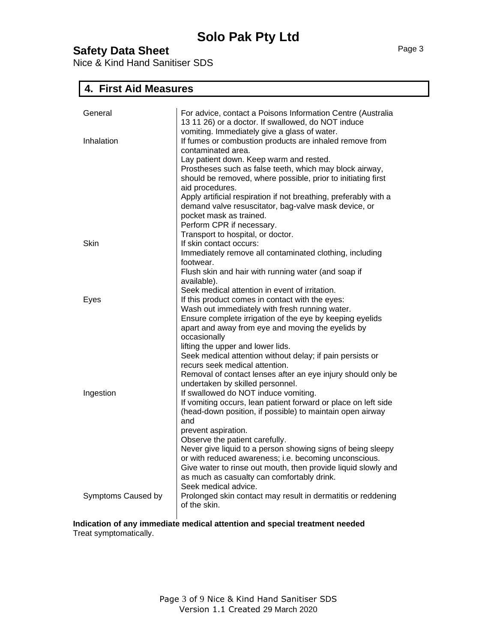Nice & Kind Hand Sanitiser SDS

## **4. First Aid Measures**

| General            | For advice, contact a Poisons Information Centre (Australia<br>13 11 26) or a doctor. If swallowed, do NOT induce                                                                                                                                                                                                                                                                          |
|--------------------|--------------------------------------------------------------------------------------------------------------------------------------------------------------------------------------------------------------------------------------------------------------------------------------------------------------------------------------------------------------------------------------------|
| Inhalation         | vomiting. Immediately give a glass of water.<br>If fumes or combustion products are inhaled remove from<br>contaminated area.<br>Lay patient down. Keep warm and rested.<br>Prostheses such as false teeth, which may block airway,<br>should be removed, where possible, prior to initiating first<br>aid procedures.<br>Apply artificial respiration if not breathing, preferably with a |
|                    | demand valve resuscitator, bag-valve mask device, or<br>pocket mask as trained.<br>Perform CPR if necessary.<br>Transport to hospital, or doctor.                                                                                                                                                                                                                                          |
| Skin               | If skin contact occurs:<br>Immediately remove all contaminated clothing, including<br>footwear.                                                                                                                                                                                                                                                                                            |
|                    | Flush skin and hair with running water (and soap if<br>available).                                                                                                                                                                                                                                                                                                                         |
| Eyes               | Seek medical attention in event of irritation.<br>If this product comes in contact with the eyes:<br>Wash out immediately with fresh running water.<br>Ensure complete irrigation of the eye by keeping eyelids                                                                                                                                                                            |
|                    | apart and away from eye and moving the eyelids by<br>occasionally<br>lifting the upper and lower lids.                                                                                                                                                                                                                                                                                     |
|                    | Seek medical attention without delay; if pain persists or<br>recurs seek medical attention.<br>Removal of contact lenses after an eye injury should only be                                                                                                                                                                                                                                |
| Ingestion          | undertaken by skilled personnel.<br>If swallowed do NOT induce vomiting.<br>If vomiting occurs, lean patient forward or place on left side                                                                                                                                                                                                                                                 |
|                    | (head-down position, if possible) to maintain open airway<br>and<br>prevent aspiration.                                                                                                                                                                                                                                                                                                    |
|                    | Observe the patient carefully.<br>Never give liquid to a person showing signs of being sleepy<br>or with reduced awareness; i.e. becoming unconscious.<br>Give water to rinse out mouth, then provide liquid slowly and<br>as much as casualty can comfortably drink.                                                                                                                      |
| Symptoms Caused by | Seek medical advice.<br>Prolonged skin contact may result in dermatitis or reddening<br>of the skin.                                                                                                                                                                                                                                                                                       |

**Indication of any immediate medical attention and special treatment needed** Treat symptomatically.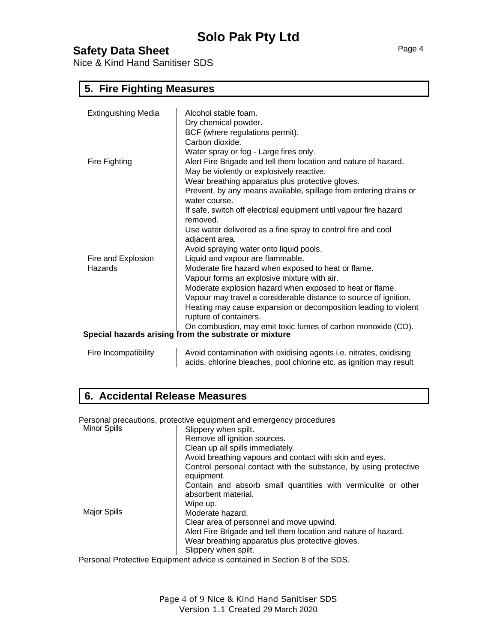Nice & Kind Hand Sanitiser SDS

#### **5. Fire Fighting Measures**

| <b>Extinguishing Media</b>    | Alcohol stable foam.<br>Dry chemical powder.<br>BCF (where regulations permit).<br>Carbon dioxide.                                                                                                                                                                                                                                                                                                                                                                                                                                                                                                                                                                                                         |
|-------------------------------|------------------------------------------------------------------------------------------------------------------------------------------------------------------------------------------------------------------------------------------------------------------------------------------------------------------------------------------------------------------------------------------------------------------------------------------------------------------------------------------------------------------------------------------------------------------------------------------------------------------------------------------------------------------------------------------------------------|
| Fire Fighting                 | Water spray or fog - Large fires only.<br>Alert Fire Brigade and tell them location and nature of hazard.<br>May be violently or explosively reactive.<br>Wear breathing apparatus plus protective gloves.<br>Prevent, by any means available, spillage from entering drains or<br>water course.                                                                                                                                                                                                                                                                                                                                                                                                           |
| Fire and Explosion<br>Hazards | If safe, switch off electrical equipment until vapour fire hazard<br>removed.<br>Use water delivered as a fine spray to control fire and cool<br>adjacent area.<br>Avoid spraying water onto liquid pools.<br>Liquid and vapour are flammable.<br>Moderate fire hazard when exposed to heat or flame.<br>Vapour forms an explosive mixture with air.<br>Moderate explosion hazard when exposed to heat or flame.<br>Vapour may travel a considerable distance to source of ignition.<br>Heating may cause expansion or decomposition leading to violent<br>rupture of containers.<br>On combustion, may emit toxic fumes of carbon monoxide (CO).<br>Special hazards arising from the substrate or mixture |
| Fire Incompatibility          | Avoid contamination with oxidising agents i.e. nitrates, oxidising                                                                                                                                                                                                                                                                                                                                                                                                                                                                                                                                                                                                                                         |

acids, chlorine bleaches, pool chlorine etc. as ignition may result

### **6. Accidental Release Measures**

Personal precautions, protective equipment and emergency procedures

| <b>Minor Spills</b> | Slippery when spilt.                                                                 |
|---------------------|--------------------------------------------------------------------------------------|
|                     | Remove all ignition sources.                                                         |
|                     | Clean up all spills immediately.                                                     |
|                     | Avoid breathing vapours and contact with skin and eyes.                              |
|                     | Control personal contact with the substance, by using protective<br>equipment.       |
|                     | Contain and absorb small quantities with vermiculite or other<br>absorbent material. |
|                     | Wipe up.                                                                             |
| <b>Major Spills</b> | Moderate hazard.                                                                     |
|                     | Clear area of personnel and move upwind.                                             |
|                     | Alert Fire Brigade and tell them location and nature of hazard.                      |
|                     | Wear breathing apparatus plus protective gloves.                                     |
|                     | Slippery when spilt.                                                                 |
|                     | Personal Protective Equipment advice is contained in Section 8 of the SDS.           |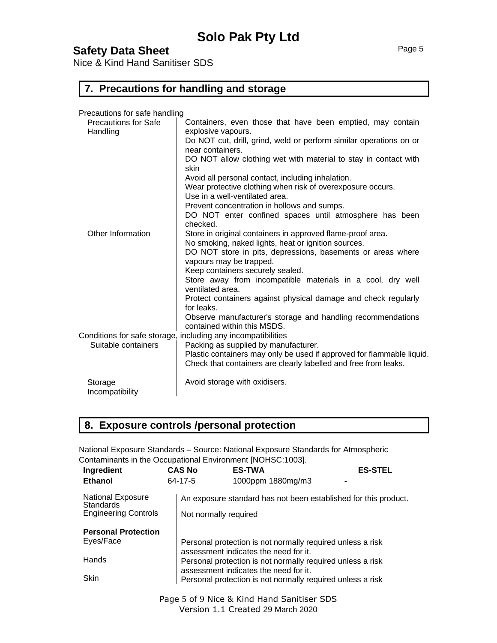Nice & Kind Hand Sanitiser SDS

#### **7. Precautions for handling and storage**

Precautions for safe handling

| <b>Precautions for Safe</b><br>Handling | Containers, even those that have been emptied, may contain<br>explosive vapours.                                                         |
|-----------------------------------------|------------------------------------------------------------------------------------------------------------------------------------------|
|                                         | Do NOT cut, drill, grind, weld or perform similar operations on or<br>near containers.                                                   |
|                                         | DO NOT allow clothing wet with material to stay in contact with<br>skin                                                                  |
|                                         | Avoid all personal contact, including inhalation.                                                                                        |
|                                         | Wear protective clothing when risk of overexposure occurs.<br>Use in a well-ventilated area.                                             |
|                                         | Prevent concentration in hollows and sumps.                                                                                              |
|                                         | DO NOT enter confined spaces until atmosphere has been<br>checked.                                                                       |
| Other Information                       | Store in original containers in approved flame-proof area.                                                                               |
|                                         | No smoking, naked lights, heat or ignition sources.                                                                                      |
|                                         | DO NOT store in pits, depressions, basements or areas where<br>vapours may be trapped.                                                   |
|                                         | Keep containers securely sealed.                                                                                                         |
|                                         | Store away from incompatible materials in a cool, dry well<br>ventilated area.                                                           |
|                                         | Protect containers against physical damage and check regularly<br>for leaks.                                                             |
|                                         | Observe manufacturer's storage and handling recommendations<br>contained within this MSDS.                                               |
|                                         | Conditions for safe storage, including any incompatibilities                                                                             |
| Suitable containers                     | Packing as supplied by manufacturer.                                                                                                     |
|                                         | Plastic containers may only be used if approved for flammable liquid.<br>Check that containers are clearly labelled and free from leaks. |
| Storage<br>Incompatibility              | Avoid storage with oxidisers.                                                                                                            |

### **8. Exposure controls /personal protection**

National Exposure Standards – Source: National Exposure Standards for Atmospheric Contaminants in the Occupational Environment [NOHSC:1003].

| Ingredient                                                                  | <b>CAS No</b>         | <b>ES-TWA</b>                                                                                       | <b>ES-STEL</b> |
|-----------------------------------------------------------------------------|-----------------------|-----------------------------------------------------------------------------------------------------|----------------|
| Ethanol                                                                     | 64-17-5               | 1000ppm 1880mg/m3                                                                                   |                |
| <b>National Exposure</b><br><b>Standards</b><br><b>Engineering Controls</b> | Not normally required | An exposure standard has not been established for this product.                                     |                |
|                                                                             |                       |                                                                                                     |                |
| <b>Personal Protection</b>                                                  |                       |                                                                                                     |                |
| Eyes/Face                                                                   |                       | Personal protection is not normally required unless a risk<br>assessment indicates the need for it. |                |
| Hands                                                                       |                       | Personal protection is not normally required unless a risk<br>assessment indicates the need for it. |                |
| <b>Skin</b>                                                                 |                       | Personal protection is not normally required unless a risk                                          |                |

Page 5 of 9 Nice & Kind Hand Sanitiser SDS Version 1.1 Created 29 March 2020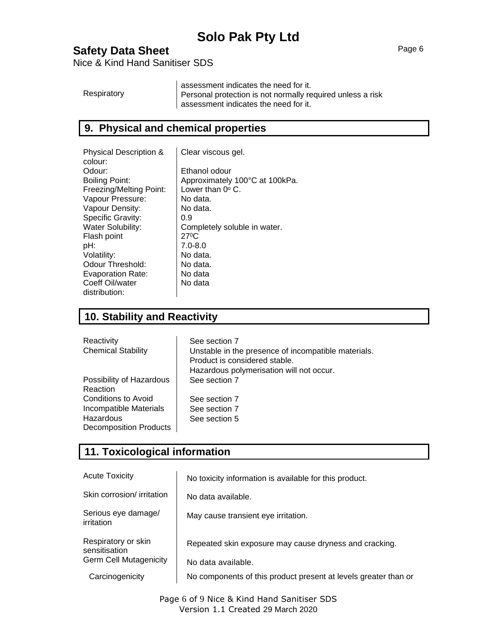## **Safety Data Sheet** Page 6

Nice & Kind Hand Sanitiser SDS

|             | assessment indicates the need for it.                      |
|-------------|------------------------------------------------------------|
| Respiratory | Personal protection is not normally required unless a risk |
|             | I assessment indicates the need for it.                    |

#### **9. Physical and chemical properties**

| <b>Physical Description &amp;</b> | Clear viscous gel.             |
|-----------------------------------|--------------------------------|
| colour:                           |                                |
| Odour:                            | Ethanol odour                  |
| Boiling Point:                    | Approximately 100°C at 100kPa. |
| Freezing/Melting Point:           | Lower than $0^{\circ}$ C.      |
| Vapour Pressure:                  | No data.                       |
| Vapour Density:                   | No data.                       |
| Specific Gravity:                 | 0.9                            |
| <b>Water Solubility:</b>          | Completely soluble in water.   |
| Flash point                       | $27^{\circ}$ C                 |
| pH:                               | $7.0 - 8.0$                    |
| Volatility:                       | No data.                       |
| Odour Threshold:                  | No data.                       |
| Evaporation Rate:                 | No data                        |
| Coeff Oil/water                   | No data                        |
| distribution:                     |                                |

## **10. Stability and Reactivity**

| Reactivity                    | See section 7                                                                        |
|-------------------------------|--------------------------------------------------------------------------------------|
| <b>Chemical Stability</b>     | Unstable in the presence of incompatible materials.<br>Product is considered stable. |
|                               | Hazardous polymerisation will not occur.                                             |
| Possibility of Hazardous      | See section 7                                                                        |
| Reaction                      |                                                                                      |
| Conditions to Avoid           | See section 7                                                                        |
| Incompatible Materials        | See section 7                                                                        |
| Hazardous                     | See section 5                                                                        |
| <b>Decomposition Products</b> |                                                                                      |

### **11. Toxicological information**

| <b>Acute Toxicity</b>                                                 | No toxicity information is available for this product.          |
|-----------------------------------------------------------------------|-----------------------------------------------------------------|
| Skin corrosion/ irritation                                            | No data available.                                              |
| Serious eye damage/<br>irritation                                     | May cause transient eye irritation.                             |
| Respiratory or skin<br>sensitisation<br><b>Germ Cell Mutagenicity</b> | Repeated skin exposure may cause dryness and cracking.          |
|                                                                       | No data available.                                              |
| Carcinogenicity                                                       | No components of this product present at levels greater than or |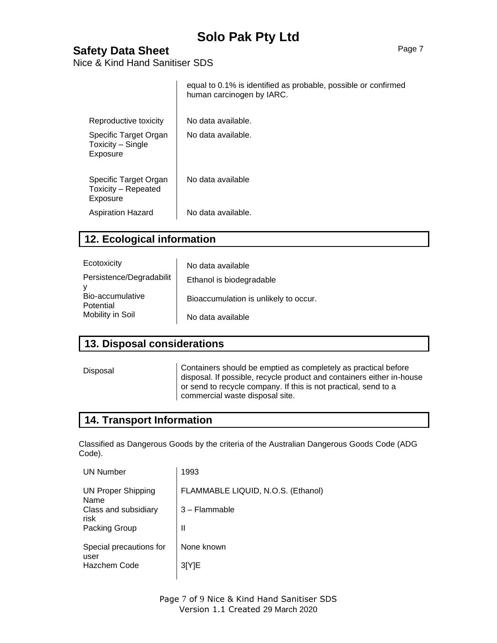## **Safety Data Sheet** Page 7

Nice & Kind Hand Sanitiser SDS

|                                                          | equal to 0.1% is identified as probable, possible or confirmed<br>human carcinogen by IARC. |
|----------------------------------------------------------|---------------------------------------------------------------------------------------------|
| Reproductive toxicity                                    | No data available.                                                                          |
| Specific Target Organ<br>Toxicity - Single<br>Exposure   | No data available.                                                                          |
| Specific Target Organ<br>Toxicity - Repeated<br>Exposure | No data available                                                                           |
| Aspiration Hazard                                        | No data available.                                                                          |

#### **12. Ecological information**

| Ecotoxicity                   | No data available                     |
|-------------------------------|---------------------------------------|
| Persistence/Degradabilit      | Ethanol is biodegradable              |
| Bio-accumulative<br>Potential | Bioaccumulation is unlikely to occur. |
| Mobility in Soil              | No data available                     |

### **13. Disposal considerations**

Disposal Containers should be emptied as completely as practical before disposal. If possible, recycle product and containers either in-house or send to recycle company. If this is not practical, send to a commercial waste disposal site.

#### **14. Transport Information**

Classified as Dangerous Goods by the criteria of the Australian Dangerous Goods Code (ADG Code).

| 1993                               |
|------------------------------------|
| FLAMMABLE LIQUID, N.O.S. (Ethanol) |
| 3 - Flammable                      |
| Ш                                  |
| None known                         |
| 3[Y]E                              |
|                                    |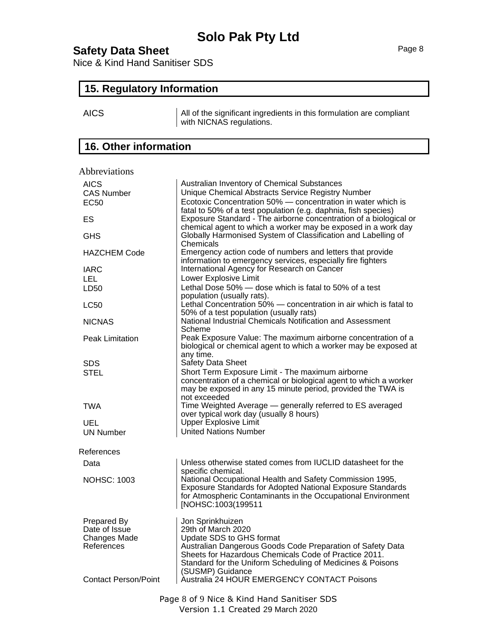## **Safety Data Sheet** Page 8

Nice & Kind Hand Sanitiser SDS

#### **15. Regulatory Information**

AICS ALL All of the significant ingredients in this formulation are compliant with NICNAS regulations.

## **16. Other information**

| Abbreviations                |                                                                                                                                                                                                              |
|------------------------------|--------------------------------------------------------------------------------------------------------------------------------------------------------------------------------------------------------------|
| <b>AICS</b>                  | Australian Inventory of Chemical Substances                                                                                                                                                                  |
| <b>CAS Number</b>            | Unique Chemical Abstracts Service Registry Number                                                                                                                                                            |
| <b>EC50</b>                  | Ecotoxic Concentration 50% - concentration in water which is                                                                                                                                                 |
| ES                           | fatal to 50% of a test population (e.g. daphnia, fish species)<br>Exposure Standard - The airborne concentration of a biological or<br>chemical agent to which a worker may be exposed in a work day         |
| <b>GHS</b>                   | Globally Harmonised System of Classification and Labelling of<br>Chemicals                                                                                                                                   |
| <b>HAZCHEM Code</b>          | Emergency action code of numbers and letters that provide<br>information to emergency services, especially fire fighters                                                                                     |
| <b>IARC</b>                  | International Agency for Research on Cancer                                                                                                                                                                  |
| LEL.                         | Lower Explosive Limit                                                                                                                                                                                        |
| LD50                         | Lethal Dose 50% - dose which is fatal to 50% of a test<br>population (usually rats).                                                                                                                         |
| <b>LC50</b>                  | Lethal Concentration 50% - concentration in air which is fatal to<br>50% of a test population (usually rats)                                                                                                 |
| <b>NICNAS</b>                | National Industrial Chemicals Notification and Assessment<br>Scheme                                                                                                                                          |
| <b>Peak Limitation</b>       | Peak Exposure Value: The maximum airborne concentration of a<br>biological or chemical agent to which a worker may be exposed at<br>any time.                                                                |
| <b>SDS</b>                   | Safety Data Sheet                                                                                                                                                                                            |
| STEL                         | Short Term Exposure Limit - The maximum airborne                                                                                                                                                             |
|                              | concentration of a chemical or biological agent to which a worker<br>may be exposed in any 15 minute period, provided the TWA is<br>not exceeded                                                             |
| TWA                          | Time Weighted Average - generally referred to ES averaged<br>over typical work day (usually 8 hours)                                                                                                         |
| UEL                          | Upper Explosive Limit                                                                                                                                                                                        |
| <b>UN Number</b>             | <b>United Nations Number</b>                                                                                                                                                                                 |
| References                   |                                                                                                                                                                                                              |
| Data                         | Unless otherwise stated comes from IUCLID datasheet for the<br>specific chemical.                                                                                                                            |
| <b>NOHSC: 1003</b>           | National Occupational Health and Safety Commission 1995,<br>Exposure Standards for Adopted National Exposure Standards<br>for Atmospheric Contaminants in the Occupational Environment<br>[NOHSC:1003(199511 |
| Prepared By<br>Date of Issue | Jon Sprinkhuizen<br>29th of March 2020                                                                                                                                                                       |
| Changes Made                 | Update SDS to GHS format                                                                                                                                                                                     |
| References                   | Australian Dangerous Goods Code Preparation of Safety Data                                                                                                                                                   |
|                              | Sheets for Hazardous Chemicals Code of Practice 2011.                                                                                                                                                        |
|                              | Standard for the Uniform Scheduling of Medicines & Poisons                                                                                                                                                   |
|                              | (SUSMP) Guidance                                                                                                                                                                                             |
| <b>Contact Person/Point</b>  | Australia 24 HOUR EMERGENCY CONTACT Poisons                                                                                                                                                                  |
|                              | Page 8 of 9 Nice & Kind Hand Sanitiser SDS                                                                                                                                                                   |

Version 1.1 Created 29 March 2020